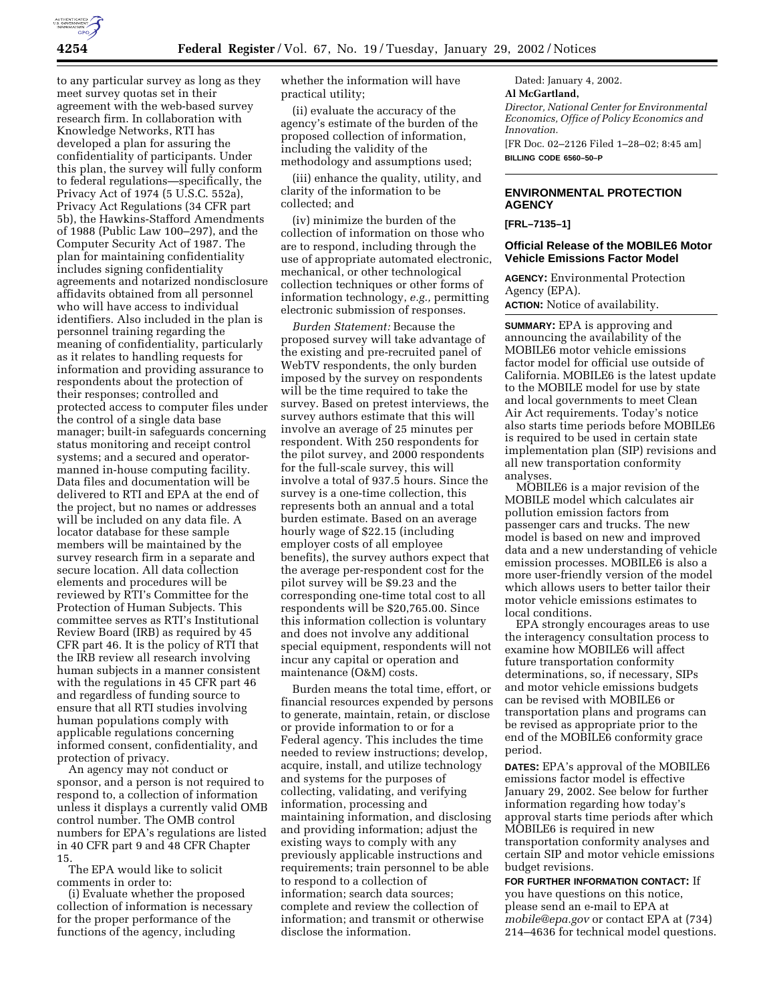

to any particular survey as long as they meet survey quotas set in their agreement with the web-based survey research firm. In collaboration with Knowledge Networks, RTI has developed a plan for assuring the confidentiality of participants. Under this plan, the survey will fully conform to federal regulations—specifically, the Privacy Act of 1974 (5 U.S.C. 552a), Privacy Act Regulations (34 CFR part 5b), the Hawkins-Stafford Amendments of 1988 (Public Law 100–297), and the Computer Security Act of 1987. The plan for maintaining confidentiality includes signing confidentiality agreements and notarized nondisclosure affidavits obtained from all personnel who will have access to individual identifiers. Also included in the plan is personnel training regarding the meaning of confidentiality, particularly as it relates to handling requests for information and providing assurance to respondents about the protection of their responses; controlled and protected access to computer files under the control of a single data base manager; built-in safeguards concerning status monitoring and receipt control systems; and a secured and operatormanned in-house computing facility. Data files and documentation will be delivered to RTI and EPA at the end of the project, but no names or addresses will be included on any data file. A locator database for these sample members will be maintained by the survey research firm in a separate and secure location. All data collection elements and procedures will be reviewed by RTI's Committee for the Protection of Human Subjects. This committee serves as RTI's Institutional Review Board (IRB) as required by 45 CFR part 46. It is the policy of RTI that the IRB review all research involving human subjects in a manner consistent with the regulations in 45 CFR part 46 and regardless of funding source to ensure that all RTI studies involving human populations comply with applicable regulations concerning informed consent, confidentiality, and protection of privacy.

An agency may not conduct or sponsor, and a person is not required to respond to, a collection of information unless it displays a currently valid OMB control number. The OMB control numbers for EPA's regulations are listed in 40 CFR part 9 and 48 CFR Chapter 15.

The EPA would like to solicit comments in order to:

(i) Evaluate whether the proposed collection of information is necessary for the proper performance of the functions of the agency, including

whether the information will have practical utility;

(ii) evaluate the accuracy of the agency's estimate of the burden of the proposed collection of information, including the validity of the methodology and assumptions used;

(iii) enhance the quality, utility, and clarity of the information to be collected; and

(iv) minimize the burden of the collection of information on those who are to respond, including through the use of appropriate automated electronic, mechanical, or other technological collection techniques or other forms of information technology, *e.g.,* permitting electronic submission of responses.

*Burden Statement:* Because the proposed survey will take advantage of the existing and pre-recruited panel of WebTV respondents, the only burden imposed by the survey on respondents will be the time required to take the survey. Based on pretest interviews, the survey authors estimate that this will involve an average of 25 minutes per respondent. With 250 respondents for the pilot survey, and 2000 respondents for the full-scale survey, this will involve a total of 937.5 hours. Since the survey is a one-time collection, this represents both an annual and a total burden estimate. Based on an average hourly wage of \$22.15 (including employer costs of all employee benefits), the survey authors expect that the average per-respondent cost for the pilot survey will be \$9.23 and the corresponding one-time total cost to all respondents will be \$20,765.00. Since this information collection is voluntary and does not involve any additional special equipment, respondents will not incur any capital or operation and maintenance (O&M) costs.

Burden means the total time, effort, or financial resources expended by persons to generate, maintain, retain, or disclose or provide information to or for a Federal agency. This includes the time needed to review instructions; develop, acquire, install, and utilize technology and systems for the purposes of collecting, validating, and verifying information, processing and maintaining information, and disclosing and providing information; adjust the existing ways to comply with any previously applicable instructions and requirements; train personnel to be able to respond to a collection of information; search data sources; complete and review the collection of information; and transmit or otherwise disclose the information.

Dated: January 4, 2002. **Al McGartland,** *Director, National Center for Environmental Economics, Office of Policy Economics and Innovation.* [FR Doc. 02–2126 Filed 1–28–02; 8:45 am] **BILLING CODE 6560–50–P**

## **ENVIRONMENTAL PROTECTION AGENCY**

**[FRL–7135–1]**

## **Official Release of the MOBILE6 Motor Vehicle Emissions Factor Model**

**AGENCY:** Environmental Protection Agency (EPA). **ACTION:** Notice of availability.

**SUMMARY:** EPA is approving and announcing the availability of the MOBILE6 motor vehicle emissions factor model for official use outside of California. MOBILE6 is the latest update to the MOBILE model for use by state and local governments to meet Clean Air Act requirements. Today's notice also starts time periods before MOBILE6 is required to be used in certain state implementation plan (SIP) revisions and all new transportation conformity analyses.

MOBILE6 is a major revision of the MOBILE model which calculates air pollution emission factors from passenger cars and trucks. The new model is based on new and improved data and a new understanding of vehicle emission processes. MOBILE6 is also a more user-friendly version of the model which allows users to better tailor their motor vehicle emissions estimates to local conditions.

EPA strongly encourages areas to use the interagency consultation process to examine how MOBILE6 will affect future transportation conformity determinations, so, if necessary, SIPs and motor vehicle emissions budgets can be revised with MOBILE6 or transportation plans and programs can be revised as appropriate prior to the end of the MOBILE6 conformity grace period.

**DATES:** EPA's approval of the MOBILE6 emissions factor model is effective January 29, 2002. See below for further information regarding how today's approval starts time periods after which MOBILE6 is required in new transportation conformity analyses and certain SIP and motor vehicle emissions budget revisions.

**FOR FURTHER INFORMATION CONTACT:** If you have questions on this notice, please send an e-mail to EPA at *mobile@epa.gov* or contact EPA at (734) 214–4636 for technical model questions.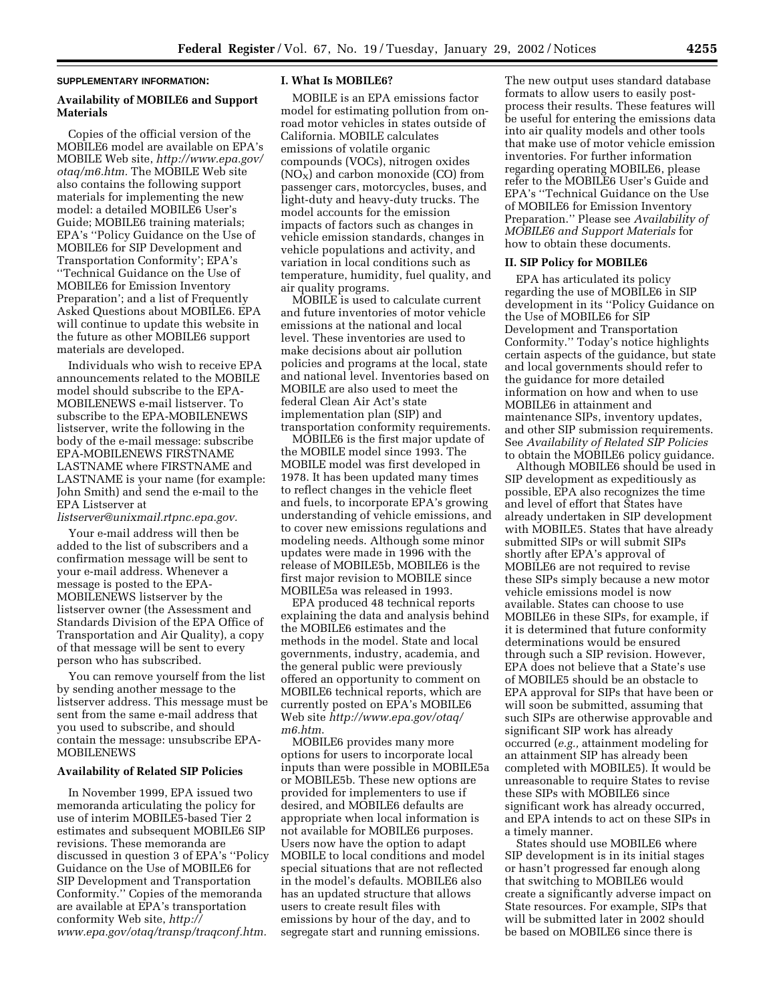### **SUPPLEMENTARY INFORMATION:**

# **Availability of MOBILE6 and Support Materials**

Copies of the official version of the MOBILE6 model are available on EPA's MOBILE Web site, *http://www.epa.gov/ otaq/m6.htm.* The MOBILE Web site also contains the following support materials for implementing the new model: a detailed MOBILE6 User's Guide; MOBILE6 training materials; EPA's ''Policy Guidance on the Use of MOBILE6 for SIP Development and Transportation Conformity'; EPA's ''Technical Guidance on the Use of MOBILE6 for Emission Inventory Preparation'; and a list of Frequently Asked Questions about MOBILE6. EPA will continue to update this website in the future as other MOBILE6 support materials are developed.

Individuals who wish to receive EPA announcements related to the MOBILE model should subscribe to the EPA-MOBILENEWS e-mail listserver. To subscribe to the EPA-MOBILENEWS listserver, write the following in the body of the e-mail message: subscribe EPA-MOBILENEWS FIRSTNAME LASTNAME where FIRSTNAME and LASTNAME is your name (for example: John Smith) and send the e-mail to the EPA Listserver at

*listserver@unixmail.rtpnc.epa.gov.*

Your e-mail address will then be added to the list of subscribers and a confirmation message will be sent to your e-mail address. Whenever a message is posted to the EPA-MOBILENEWS listserver by the listserver owner (the Assessment and Standards Division of the EPA Office of Transportation and Air Quality), a copy of that message will be sent to every person who has subscribed.

You can remove yourself from the list by sending another message to the listserver address. This message must be sent from the same e-mail address that you used to subscribe, and should contain the message: unsubscribe EPA-MOBILENEWS

#### **Availability of Related SIP Policies**

In November 1999, EPA issued two memoranda articulating the policy for use of interim MOBILE5-based Tier 2 estimates and subsequent MOBILE6 SIP revisions. These memoranda are discussed in question 3 of EPA's ''Policy Guidance on the Use of MOBILE6 for SIP Development and Transportation Conformity.'' Copies of the memoranda are available at EPA's transportation conformity Web site, *http:// www.epa.gov/otaq/transp/traqconf.htm.*

## **I. What Is MOBILE6?**

MOBILE is an EPA emissions factor model for estimating pollution from onroad motor vehicles in states outside of California. MOBILE calculates emissions of volatile organic compounds (VOCs), nitrogen oxides  $(NO<sub>X</sub>)$  and carbon monoxide  $(CO)$  from passenger cars, motorcycles, buses, and light-duty and heavy-duty trucks. The model accounts for the emission impacts of factors such as changes in vehicle emission standards, changes in vehicle populations and activity, and variation in local conditions such as temperature, humidity, fuel quality, and air quality programs.

MOBILE is used to calculate current and future inventories of motor vehicle emissions at the national and local level. These inventories are used to make decisions about air pollution policies and programs at the local, state and national level. Inventories based on MOBILE are also used to meet the federal Clean Air Act's state implementation plan (SIP) and transportation conformity requirements.

MOBILE6 is the first major update of the MOBILE model since 1993. The MOBILE model was first developed in 1978. It has been updated many times to reflect changes in the vehicle fleet and fuels, to incorporate EPA's growing understanding of vehicle emissions, and to cover new emissions regulations and modeling needs. Although some minor updates were made in 1996 with the release of MOBILE5b, MOBILE6 is the first major revision to MOBILE since MOBILE5a was released in 1993.

EPA produced 48 technical reports explaining the data and analysis behind the MOBILE6 estimates and the methods in the model. State and local governments, industry, academia, and the general public were previously offered an opportunity to comment on MOBILE6 technical reports, which are currently posted on EPA's MOBILE6 Web site *http://www.epa.gov/otaq/ m6.htm*.

MOBILE6 provides many more options for users to incorporate local inputs than were possible in MOBILE5a or MOBILE5b. These new options are provided for implementers to use if desired, and MOBILE6 defaults are appropriate when local information is not available for MOBILE6 purposes. Users now have the option to adapt MOBILE to local conditions and model special situations that are not reflected in the model's defaults. MOBILE6 also has an updated structure that allows users to create result files with emissions by hour of the day, and to segregate start and running emissions.

The new output uses standard database formats to allow users to easily postprocess their results. These features will be useful for entering the emissions data into air quality models and other tools that make use of motor vehicle emission inventories. For further information regarding operating MOBILE6, please refer to the MOBILE6 User's Guide and EPA's ''Technical Guidance on the Use of MOBILE6 for Emission Inventory Preparation.'' Please see *Availability of MOBILE6 and Support Materials* for how to obtain these documents.

## **II. SIP Policy for MOBILE6**

EPA has articulated its policy regarding the use of MOBILE6 in SIP development in its ''Policy Guidance on the Use of MOBILE6 for SIP Development and Transportation Conformity.'' Today's notice highlights certain aspects of the guidance, but state and local governments should refer to the guidance for more detailed information on how and when to use MOBILE6 in attainment and maintenance SIPs, inventory updates, and other SIP submission requirements. See *Availability of Related SIP Policies* to obtain the MOBILE6 policy guidance.

Although MOBILE6 should be used in SIP development as expeditiously as possible, EPA also recognizes the time and level of effort that States have already undertaken in SIP development with MOBILE5. States that have already submitted SIPs or will submit SIPs shortly after EPA's approval of MOBILE6 are not required to revise these SIPs simply because a new motor vehicle emissions model is now available. States can choose to use MOBILE6 in these SIPs, for example, if it is determined that future conformity determinations would be ensured through such a SIP revision. However, EPA does not believe that a State's use of MOBILE5 should be an obstacle to EPA approval for SIPs that have been or will soon be submitted, assuming that such SIPs are otherwise approvable and significant SIP work has already occurred (*e.g.,* attainment modeling for an attainment SIP has already been completed with MOBILE5). It would be unreasonable to require States to revise these SIPs with MOBILE6 since significant work has already occurred, and EPA intends to act on these SIPs in a timely manner.

States should use MOBILE6 where SIP development is in its initial stages or hasn't progressed far enough along that switching to MOBILE6 would create a significantly adverse impact on State resources. For example, SIPs that will be submitted later in 2002 should be based on MOBILE6 since there is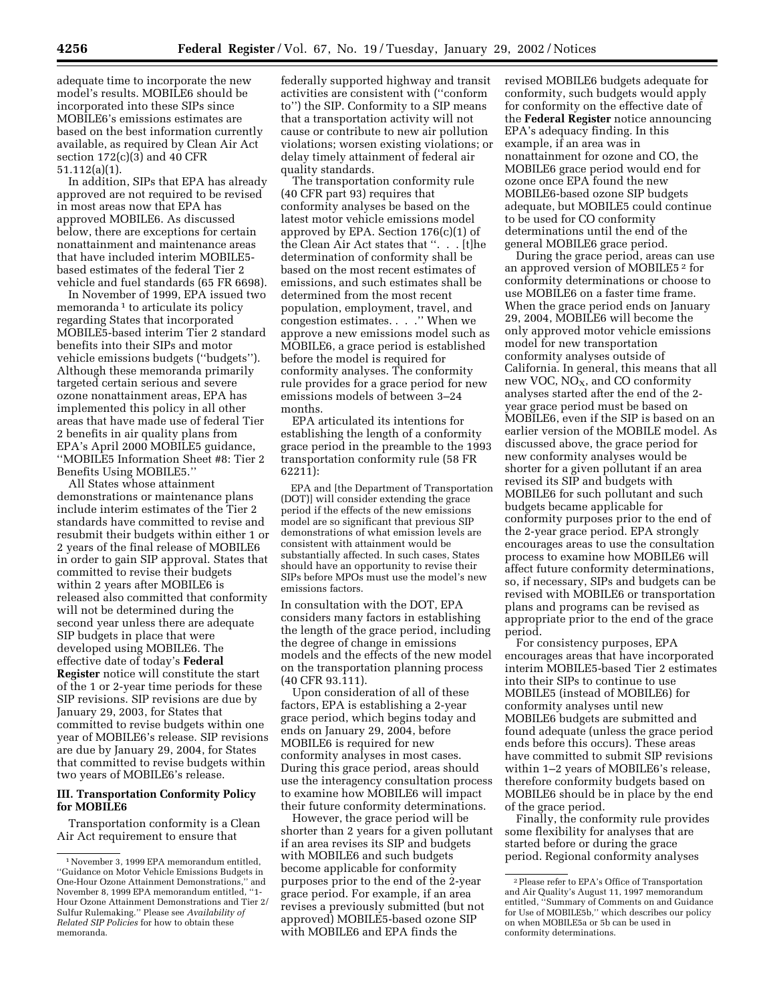adequate time to incorporate the new model's results. MOBILE6 should be incorporated into these SIPs since MOBILE6's emissions estimates are based on the best information currently available, as required by Clean Air Act section 172(c)(3) and 40 CFR 51.112(a)(1).

In addition, SIPs that EPA has already approved are not required to be revised in most areas now that EPA has approved MOBILE6. As discussed below, there are exceptions for certain nonattainment and maintenance areas that have included interim MOBILE5 based estimates of the federal Tier 2 vehicle and fuel standards (65 FR 6698).

In November of 1999, EPA issued two memoranda<sup>1</sup> to articulate its policy regarding States that incorporated MOBILE5-based interim Tier 2 standard benefits into their SIPs and motor vehicle emissions budgets (''budgets''). Although these memoranda primarily targeted certain serious and severe ozone nonattainment areas, EPA has implemented this policy in all other areas that have made use of federal Tier 2 benefits in air quality plans from EPA's April 2000 MOBILE5 guidance, ''MOBILE5 Information Sheet #8: Tier 2 Benefits Using MOBILE5.''

All States whose attainment demonstrations or maintenance plans include interim estimates of the Tier 2 standards have committed to revise and resubmit their budgets within either 1 or 2 years of the final release of MOBILE6 in order to gain SIP approval. States that committed to revise their budgets within 2 years after MOBILE6 is released also committed that conformity will not be determined during the second year unless there are adequate SIP budgets in place that were developed using MOBILE6. The effective date of today's **Federal Register** notice will constitute the start of the 1 or 2-year time periods for these SIP revisions. SIP revisions are due by January 29, 2003, for States that committed to revise budgets within one year of MOBILE6's release. SIP revisions are due by January 29, 2004, for States that committed to revise budgets within two years of MOBILE6's release.

## **III. Transportation Conformity Policy for MOBILE6**

Transportation conformity is a Clean Air Act requirement to ensure that

federally supported highway and transit activities are consistent with (''conform to'') the SIP. Conformity to a SIP means that a transportation activity will not cause or contribute to new air pollution violations; worsen existing violations; or delay timely attainment of federal air quality standards.

The transportation conformity rule (40 CFR part 93) requires that conformity analyses be based on the latest motor vehicle emissions model approved by EPA. Section 176(c)(1) of the Clean Air Act states that ''. . . [t]he determination of conformity shall be based on the most recent estimates of emissions, and such estimates shall be determined from the most recent population, employment, travel, and congestion estimates. . . .'' When we approve a new emissions model such as MOBILE6, a grace period is established before the model is required for conformity analyses. The conformity rule provides for a grace period for new emissions models of between 3–24 months.

EPA articulated its intentions for establishing the length of a conformity grace period in the preamble to the 1993 transportation conformity rule (58 FR 62211):

EPA and [the Department of Transportation (DOT)] will consider extending the grace period if the effects of the new emissions model are so significant that previous SIP demonstrations of what emission levels are consistent with attainment would be substantially affected. In such cases, States should have an opportunity to revise their SIPs before MPOs must use the model's new emissions factors.

In consultation with the DOT, EPA considers many factors in establishing the length of the grace period, including the degree of change in emissions models and the effects of the new model on the transportation planning process (40 CFR 93.111).

Upon consideration of all of these factors, EPA is establishing a 2-year grace period, which begins today and ends on January 29, 2004, before MOBILE6 is required for new conformity analyses in most cases. During this grace period, areas should use the interagency consultation process to examine how MOBILE6 will impact their future conformity determinations.

However, the grace period will be shorter than 2 years for a given pollutant if an area revises its SIP and budgets with MOBILE6 and such budgets become applicable for conformity purposes prior to the end of the 2-year grace period. For example, if an area revises a previously submitted (but not approved) MOBILE5-based ozone SIP with MOBILE6 and EPA finds the

revised MOBILE6 budgets adequate for conformity, such budgets would apply for conformity on the effective date of the **Federal Register** notice announcing EPA's adequacy finding. In this example, if an area was in nonattainment for ozone and CO, the MOBILE6 grace period would end for ozone once EPA found the new MOBILE6-based ozone SIP budgets adequate, but MOBILE5 could continue to be used for CO conformity determinations until the end of the general MOBILE6 grace period.

During the grace period, areas can use an approved version of MOBILE5 2 for conformity determinations or choose to use MOBILE6 on a faster time frame. When the grace period ends on January 29, 2004, MOBILE6 will become the only approved motor vehicle emissions model for new transportation conformity analyses outside of California. In general, this means that all new VOC,  $NO<sub>X</sub>$ , and CO conformity analyses started after the end of the 2 year grace period must be based on MOBILE6, even if the SIP is based on an earlier version of the MOBILE model. As discussed above, the grace period for new conformity analyses would be shorter for a given pollutant if an area revised its SIP and budgets with MOBILE6 for such pollutant and such budgets became applicable for conformity purposes prior to the end of the 2-year grace period. EPA strongly encourages areas to use the consultation process to examine how MOBILE6 will affect future conformity determinations, so, if necessary, SIPs and budgets can be revised with MOBILE6 or transportation plans and programs can be revised as appropriate prior to the end of the grace period.

For consistency purposes, EPA encourages areas that have incorporated interim MOBILE5-based Tier 2 estimates into their SIPs to continue to use MOBILE5 (instead of MOBILE6) for conformity analyses until new MOBILE6 budgets are submitted and found adequate (unless the grace period ends before this occurs). These areas have committed to submit SIP revisions within 1–2 years of MOBILE6's release, therefore conformity budgets based on MOBILE6 should be in place by the end of the grace period.

Finally, the conformity rule provides some flexibility for analyses that are started before or during the grace period. Regional conformity analyses

<sup>1</sup>November 3, 1999 EPA memorandum entitled, ''Guidance on Motor Vehicle Emissions Budgets in One-Hour Ozone Attainment Demonstrations,'' and November 8, 1999 EPA memorandum entitled, ''1- Hour Ozone Attainment Demonstrations and Tier 2/ Sulfur Rulemaking.'' Please see *Availability of Related SIP Policies* for how to obtain these memoranda.

<sup>2</sup>Please refer to EPA's Office of Transportation and Air Quality's August 11, 1997 memorandum entitled, ''Summary of Comments on and Guidance for Use of MOBILE5b,'' which describes our policy on when MOBILE5a or 5b can be used in conformity determinations.